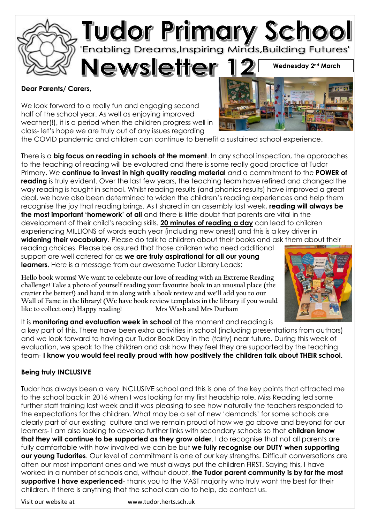

#### **Dear Parents/ Carers,**

We look forward to a really fun and engaging second half of the school year. As well as enjoying improved weather(!), it is a period when the children progress well in class- let's hope we are truly out of any issues regarding

the COVID pandemic and children can continue to benefit a sustained school experience.

There is a **big focus on reading in schools at the moment**. In any school inspection, the approaches to the teaching of reading will be evaluated and there is some really good practice at Tudor Primary. We **continue to invest in high quality reading material** and a commitment to the **POWER of reading** is truly evident. Over the last few years, the teaching team have refined and changed the way reading is taught in school. Whilst reading results (and phonics results) have improved a great deal, we have also been determined to widen the children's reading experiences and help them recognise the joy that reading brings. As I shared in an assembly last week, **reading will always be the most important 'homework' of all** and there is little doubt that parents are vital in the development of their child's reading skills. **20 minutes of reading a day** can lead to children experiencing MILLIONS of words each year (including new ones!) and this is a key driver in **widening their vocabulary**. Please do talk to children about their books and ask them about their

reading choices. Please be assured that those children who need additional support are well catered for as **we are truly aspirational for all our young learners**. Here is a message from our awesome Tudor Library Leads:

**Hello book worms! We want to celebrate our love of reading with an Extreme Reading challenge! Take a photo of yourself reading your favourite book in an unusual place (the crazier the better!) and hand it in along with a book review and we'll add you to our Wall of Fame in the library! (We have book review templates in the library if you would**  like to collect one) Happy reading!



It is **monitoring and evaluation week in school** at the moment and reading is a key part of this. There have been extra activities in school (including presentations from authors) and we look forward to having our Tudor Book Day in the (fairly) near future. During this week of evaluation, we speak to the children and ask how they feel they are supported by the teaching team- **I know you would feel really proud with how positively the children talk about THEIR school.** 

## **Being truly INCLUSIVE**

Tudor has always been a very INCLUSIVE school and this is one of the key points that attracted me to the school back in 2016 when I was looking for my first headship role. Miss Reading led some further staff training last week and it was pleasing to see how naturally the teachers responded to the expectations for the children. What may be a set of new 'demands' for some schools are clearly part of our existing culture and we remain proud of how we go above and beyond for our learners- I am also looking to develop further links with secondary schools so that **children know that they will continue to be supported as they grow older**. I do recognise that not all parents are fully comfortable with how involved we can be but **we fully recognise our DUTY when supporting our young Tudorites**. Our level of commitment is one of our key strengths. Difficult conversations are often our most important ones and we must always put the children FIRST. Saying this, I have worked in a number of schools and, without doubt, **the Tudor parent community is by far the most supportive I have experienced**- thank you to the VAST majority who truly want the best for their children. If there is anything that the school can do to help, do contact us.

Visit our website at www.tudor.herts.sch.uk